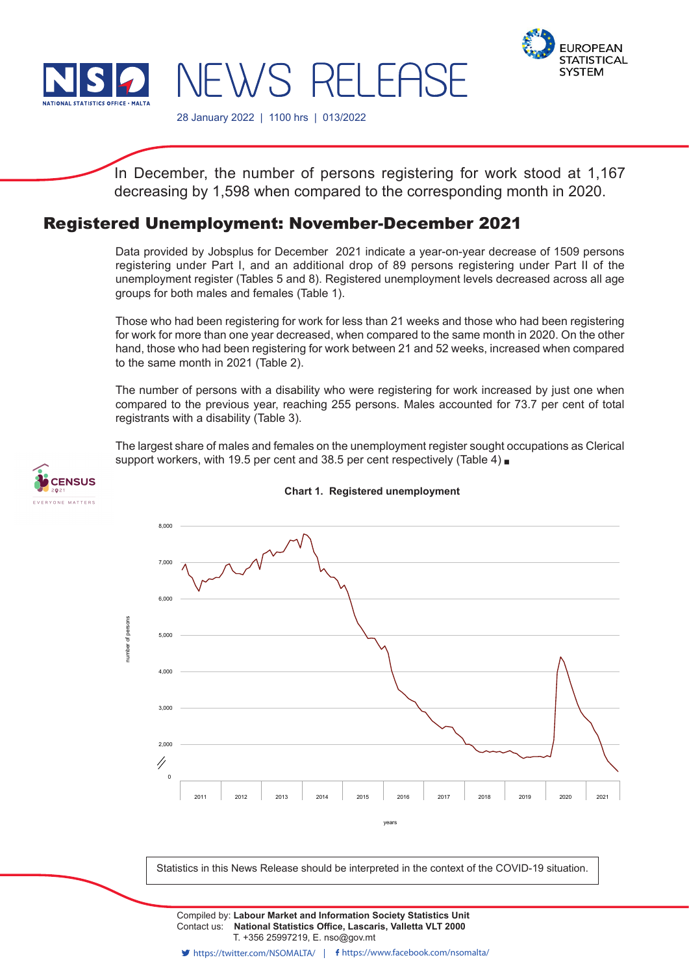



28 January 2022 | 1100 hrs | 013/2022

NEWS RELEASE

In December, the number of persons registering for work stood at 1,167 decreasing by 1,598 when compared to the corresponding month in 2020.

# Registered Unemployment: November-December 2021

Data provided by Jobsplus for December 2021 indicate a year-on-year decrease of 1509 persons registering under Part I, and an additional drop of 89 persons registering under Part II of the unemployment register (Tables 5 and 8). Registered unemployment levels decreased across all age groups for both males and females (Table 1).

Those who had been registering for work for less than 21 weeks and those who had been registering for work for more than one year decreased, when compared to the same month in 2020. On the other hand, those who had been registering for work between 21 and 52 weeks, increased when compared to the same month in 2021 (Table 2).

The number of persons with a disability who were registering for work increased by just one when compared to the previous year, reaching 255 persons. Males accounted for 73.7 per cent of total registrants with a disability (Table 3).

The largest share of males and females on the unemployment register sought occupations as Clerical support workers, with 19.5 per cent and 38.5 per cent respectively (Table 4)



## **Chart 1. Registered unemployment**



Statistics in this News Release should be interpreted in the context of the COVID-19 situation.

Contact us: **National Statistics Office, Lascaris, Valletta VLT 2000** T. +356 25997219, E. nso@gov.mt Compiled by: **Labour Market and Information Society Statistics Unit**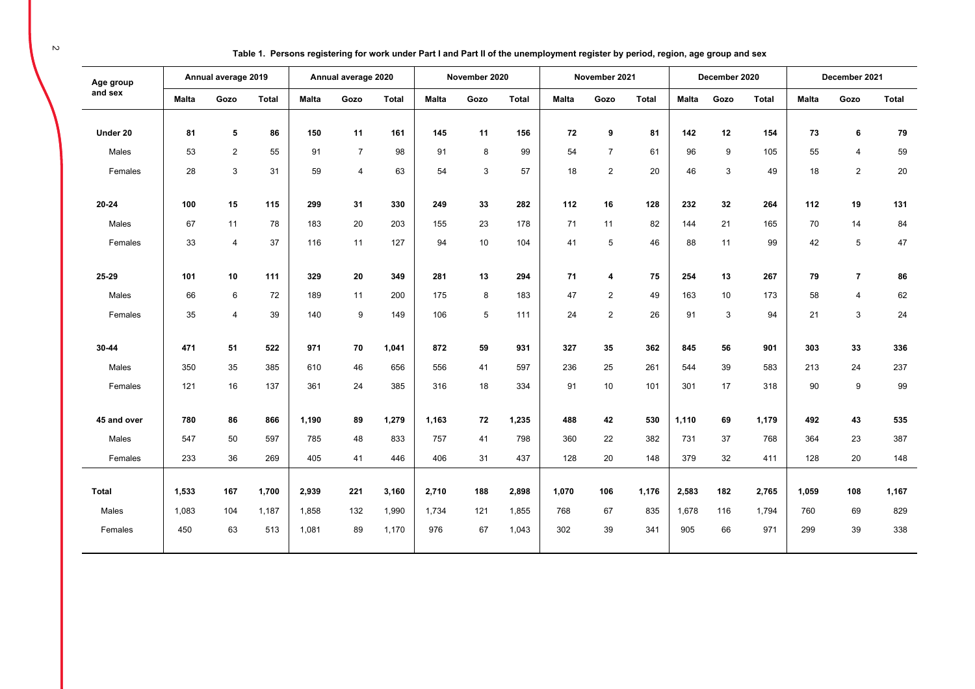| Table 1. Persons registering for work under Part I and Part II of the unemployment register by period, region, age group and sex |
|----------------------------------------------------------------------------------------------------------------------------------|
|----------------------------------------------------------------------------------------------------------------------------------|

| Age group    |              | Annual average 2019 |              |              | Annual average 2020 |              |              | November 2020 |              |              | November 2021  |              |              | December 2020 |              |              | December 2021           |              |
|--------------|--------------|---------------------|--------------|--------------|---------------------|--------------|--------------|---------------|--------------|--------------|----------------|--------------|--------------|---------------|--------------|--------------|-------------------------|--------------|
| and sex      | <b>Malta</b> | Gozo                | <b>Total</b> | <b>Malta</b> | Gozo                | <b>Total</b> | <b>Malta</b> | Gozo          | <b>Total</b> | <b>Malta</b> | Gozo           | <b>Total</b> | <b>Malta</b> | Gozo          | <b>Total</b> | <b>Malta</b> | Gozo                    | <b>Total</b> |
|              |              |                     |              |              |                     |              |              |               |              |              |                |              |              |               |              |              |                         |              |
| Under 20     | 81           | 5                   | 86           | 150          | 11                  | 161          | 145          | 11            | 156          | 72           | 9              | 81           | 142          | 12            | 154          | 73           | 6                       | 79           |
| Males        | 53           | $\overline{2}$      | 55           | 91           | $\overline{7}$      | 98           | 91           | 8             | 99           | 54           | $\overline{7}$ | 61           | 96           | 9             | 105          | 55           | $\overline{4}$          | 59           |
| Females      | 28           | 3                   | 31           | 59           | $\overline{4}$      | 63           | 54           | 3             | 57           | 18           | $\overline{2}$ | 20           | 46           | 3             | 49           | 18           | $\sqrt{2}$              | 20           |
| 20-24        | 100          | 15                  | 115          | 299          | 31                  | 330          | 249          | 33            | 282          | 112          | 16             | 128          | 232          | 32            | 264          | 112          | 19                      | 131          |
| Males        | 67           | 11                  | 78           | 183          | 20                  | 203          | 155          | 23            | 178          | 71           | 11             | 82           | 144          | 21            | 165          | 70           | 14                      | 84           |
| Females      | 33           | $\overline{4}$      | 37           | 116          | 11                  | 127          | 94           | 10            | 104          | 41           | 5              | 46           | 88           | 11            | 99           | 42           | $\sqrt{5}$              | $47\,$       |
|              |              |                     |              |              |                     |              |              |               |              |              |                |              |              |               |              |              |                         |              |
| 25-29        | 101          | 10                  | 111          | 329          | 20                  | 349          | 281          | 13            | 294          | 71           | 4              | 75           | 254          | 13            | 267          | 79           | $\overline{\mathbf{r}}$ | 86           |
| Males        | 66           | 6                   | 72           | 189          | 11                  | 200          | 175          | 8             | 183          | 47           | $\overline{2}$ | 49           | 163          | 10            | 173          | 58           | $\overline{\mathbf{4}}$ | 62           |
| Females      | 35           | $\overline{4}$      | 39           | 140          | 9                   | 149          | 106          | 5             | 111          | 24           | $\overline{2}$ | 26           | 91           | 3             | 94           | 21           | 3                       | 24           |
|              |              |                     |              |              |                     |              |              |               |              |              |                |              |              |               |              |              |                         |              |
| 30-44        | 471          | 51                  | 522          | 971          | 70                  | 1,041        | 872          | 59            | 931          | 327          | 35             | 362          | 845          | 56            | 901          | 303          | 33                      | 336          |
| Males        | 350          | 35                  | 385          | 610          | 46                  | 656          | 556          | 41            | 597          | 236          | 25             | 261          | 544          | 39            | 583          | 213          | 24                      | 237          |
| Females      | 121          | 16                  | 137          | 361          | 24                  | 385          | 316          | 18            | 334          | 91           | 10             | 101          | 301          | 17            | 318          | 90           | 9                       | 99           |
|              |              |                     |              |              |                     |              |              |               |              |              |                |              |              |               |              |              |                         |              |
| 45 and over  | 780          | 86                  | 866          | 1,190        | 89                  | 1,279        | 1,163        | 72            | 1,235        | 488          | 42             | 530          | 1,110        | 69            | 1,179        | 492          | 43                      | 535          |
| Males        | 547          | 50                  | 597          | 785          | 48                  | 833          | 757          | 41            | 798          | 360          | 22             | 382          | 731          | 37            | 768          | 364          | 23                      | 387          |
| Females      | 233          | 36                  | 269          | 405          | 41                  | 446          | 406          | 31            | 437          | 128          | 20             | 148          | 379          | 32            | 411          | 128          | 20                      | 148          |
|              |              |                     |              |              |                     |              |              |               |              |              |                |              |              |               |              |              |                         |              |
| <b>Total</b> | 1,533        | 167                 | 1,700        | 2,939        | 221                 | 3,160        | 2,710        | 188           | 2,898        | 1,070        | 106            | 1,176        | 2,583        | 182           | 2,765        | 1,059        | 108                     | 1,167        |
| Males        | 1,083        | 104                 | 1,187        | 1,858        | 132                 | 1,990        | 1,734        | 121           | 1,855        | 768          | 67             | 835          | 1,678        | 116           | 1,794        | 760          | 69                      | 829          |
| Females      | 450          | 63                  | 513          | 1,081        | 89                  | 1,170        | 976          | 67            | 1,043        | 302          | 39             | 341          | 905          | 66            | 971          | 299          | 39                      | 338          |
|              |              |                     |              |              |                     |              |              |               |              |              |                |              |              |               |              |              |                         |              |

 $\sim$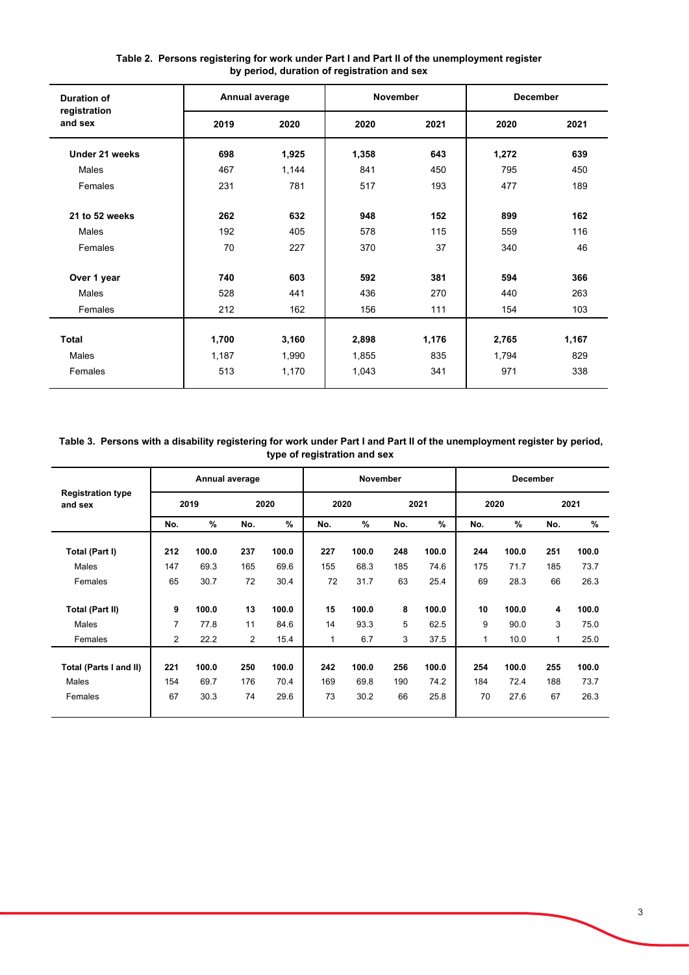| <b>Duration of</b>      | Annual average |       | <b>November</b> |       | <b>December</b> |       |
|-------------------------|----------------|-------|-----------------|-------|-----------------|-------|
| registration<br>and sex | 2019           | 2020  | 2020            | 2021  | 2020            | 2021  |
| Under 21 weeks          | 698            | 1,925 | 1,358           | 643   | 1,272           | 639   |
| Males                   | 467            | 1,144 | 841             | 450   | 795             | 450   |
| Females                 | 231            | 781   | 517             | 193   | 477             | 189   |
| 21 to 52 weeks          | 262            | 632   | 948             | 152   | 899             | 162   |
| <b>Males</b>            | 192            | 405   | 578             | 115   | 559             | 116   |
| Females                 | 70             | 227   | 370             | 37    | 340             | 46    |
| Over 1 year             | 740            | 603   | 592             | 381   | 594             | 366   |
| Males                   | 528            | 441   | 436             | 270   | 440             | 263   |
| Females                 | 212            | 162   | 156             | 111   | 154             | 103   |
| <b>Total</b>            | 1,700          | 3,160 | 2,898           | 1,176 | 2,765           | 1,167 |
| Males                   | 1,187          | 1,990 | 1,855           | 835   | 1,794           | 829   |
| Females                 | 513            | 1,170 | 1,043           | 341   | 971             | 338   |
|                         |                |       |                 |       |                 |       |

### **Table 2. Persons registering for work under Part I and Part II of the unemployment register by period, duration of registration and sex**

**Table 3. Persons with a disability registering for work under Part I and Part II of the unemployment register by period, type of registration and sex**

|                                     |     |       | Annual average |       |              | <b>November</b> |     |       |      | <b>December</b> |     |       |
|-------------------------------------|-----|-------|----------------|-------|--------------|-----------------|-----|-------|------|-----------------|-----|-------|
| <b>Registration type</b><br>and sex |     | 2019  |                | 2020  | 2020         |                 |     | 2021  | 2020 |                 |     | 2021  |
|                                     | No. | %     | No.            | $\%$  | No.          | $\%$            | No. | $\%$  | No.  | $\%$            | No. | $\%$  |
| Total (Part I)                      | 212 | 100.0 | 237            | 100.0 | 227          | 100.0           | 248 | 100.0 | 244  | 100.0           | 251 | 100.0 |
| Males                               | 147 | 69.3  | 165            | 69.6  | 155          | 68.3            | 185 | 74.6  | 175  | 71.7            | 185 | 73.7  |
| Females                             | 65  | 30.7  | 72             | 30.4  | 72           | 31.7            | 63  | 25.4  | 69   | 28.3            | 66  | 26.3  |
| <b>Total (Part II)</b>              | 9   | 100.0 | 13             | 100.0 | 15           | 100.0           | 8   | 100.0 | 10   | 100.0           | 4   | 100.0 |
| Males                               | 7   | 77.8  | 11             | 84.6  | 14           | 93.3            | 5   | 62.5  | 9    | 90.0            | 3   | 75.0  |
| Females                             | 2   | 22.2  | 2              | 15.4  | $\mathbf{1}$ | 6.7             | 3   | 37.5  | 1    | 10.0            | 1   | 25.0  |
| Total (Parts I and II)              | 221 | 100.0 | 250            | 100.0 | 242          | 100.0           | 256 | 100.0 | 254  | 100.0           | 255 | 100.0 |
| Males                               | 154 | 69.7  | 176            | 70.4  | 169          | 69.8            | 190 | 74.2  | 184  | 72.4            | 188 | 73.7  |
| Females                             | 67  | 30.3  | 74             | 29.6  | 73           | 30.2            | 66  | 25.8  | 70   | 27.6            | 67  | 26.3  |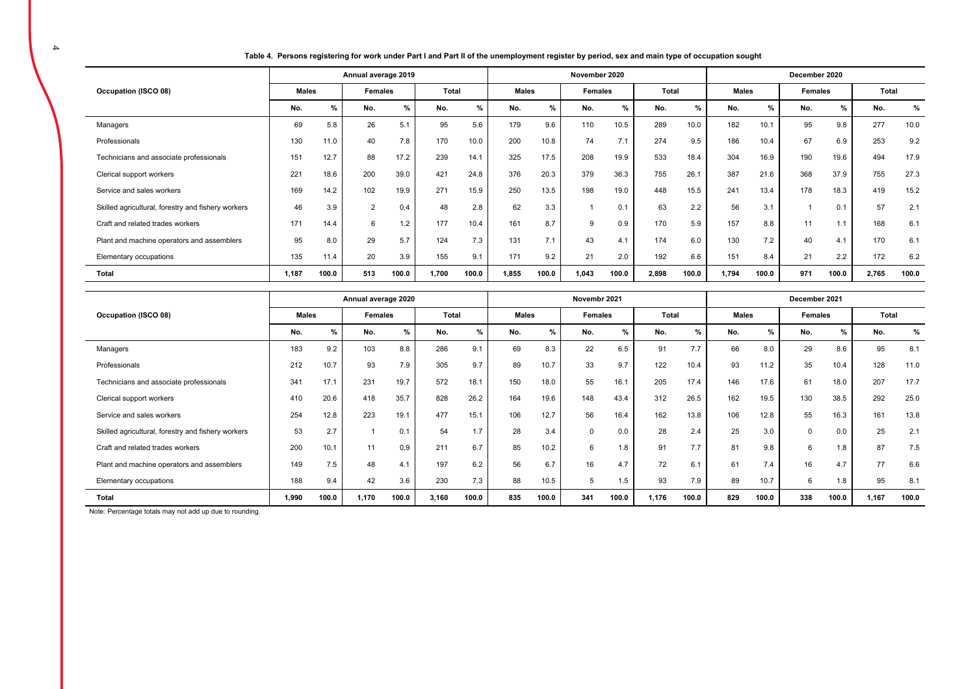**Table 4. Persons registering for work under Part I and Part II of the unemployment register by period, sex and main type of occupation sought** 

|                                                    |              |       | Annual average 2019 |       |       |       |              |       | November 2020 |       |       |       |              |       | December 2020 |       |       |       |
|----------------------------------------------------|--------------|-------|---------------------|-------|-------|-------|--------------|-------|---------------|-------|-------|-------|--------------|-------|---------------|-------|-------|-------|
| Occupation (ISCO 08)                               | <b>Males</b> |       | Females             |       | Total |       | <b>Males</b> |       | Females       |       | Total |       | <b>Males</b> |       | Females       |       | Total |       |
|                                                    | No.          | %     | No.                 | %     | No.   | %     | No.          | $\%$  | No.           | $\%$  | No.   | %     | No.          | %     | No.           | $\%$  | No.   | %     |
| Managers                                           | 69           | 5.8   | 26                  | 5.1   | 95    | 5.6   | 179          | 9.6   | 110           | 10.5  | 289   | 10.0  | 182          | 10.1  | 95            | 9.8   | 277   | 10.0  |
| Professionals                                      | 130          | 11.0  | 40                  | 7.8   | 170   | 10.0  | 200          | 10.8  | 74            | 7.1   | 274   | 9.5   | 186          | 10.4  | 67            | 6.9   | 253   | 9.2   |
| Technicians and associate professionals            | 151          | 12.7  | 88                  | 17.2  | 239   | 14.1  | 325          | 17.5  | 208           | 19.9  | 533   | 18.4  | 304          | 16.9  | 190           | 19.6  | 494   | 17.9  |
| Clerical support workers                           | 221          | 18.6  | 200                 | 39.0  | 421   | 24.8  | 376          | 20.3  | 379           | 36.3  | 755   | 26.1  | 387          | 21.6  | 368           | 37.9  | 755   | 27.3  |
| Service and sales workers                          | 169          | 14.2  | 102                 | 19.9  | 271   | 15.9  | 250          | 13.5  | 198           | 19.0  | 448   | 15.5  | 241          | 13.4  | 178           | 18.3  | 419   | 15.2  |
| Skilled agricultural, forestry and fishery workers | 46           | 3.9   | 2                   | 0.4   | 48    | 2.8   | 62           | 3.3   |               | 0.1   | 63    | 2.2   | 56           | 3.1   |               | 0.1   | 57    | 2.1   |
| Craft and related trades workers                   | 171          | 14.4  | 6                   | 1.2   | 177   | 10.4  | 161          | 8.7   | 9             | 0.9   | 170   | 5.9   | 157          | 8.8   | 11            | 1.1   | 168   | 6.1   |
| Plant and machine operators and assemblers         | 95           | 8.0   | 29                  | 5.7   | 124   | 7.3   | 131          | 7.1   | 43            | 4.1   | 174   | 6.0   | 130          | 7.2   | 40            | 4.1   | 170   | 6.1   |
| Elementary occupations                             | 135          | 11.4  | 20                  | 3.9   | 155   | 9.1   | 171          | 9.2   | 21            | 2.0   | 192   | 6.6   | 151          | 8.4   | 21            | 2.2   | 172   | 6.2   |
| <b>Total</b>                                       | 1.187        | 100.0 | 513                 | 100.0 | 1,700 | 100.0 | 1,855        | 100.0 | 1,043         | 100.0 | 2,898 | 100.0 | 1,794        | 100.0 | 971           | 100.0 | 2,765 | 100.0 |

|                                                    |       |       | Annual average 2020 |       |       |       |              |               | Novembr 2021 |       |              |       |              |       | December 2021 |       |       |       |
|----------------------------------------------------|-------|-------|---------------------|-------|-------|-------|--------------|---------------|--------------|-------|--------------|-------|--------------|-------|---------------|-------|-------|-------|
| Occupation (ISCO 08)                               | Males |       | Females             |       | Total |       | <b>Males</b> |               | Females      |       | <b>Total</b> |       | <b>Males</b> |       | Females       |       | Total |       |
|                                                    | No.   | %     | No.                 | %     | No.   | %     | No.          | $\frac{9}{6}$ | No.          | %     | No.          | %     | No.          | %     | No.           | %     | No.   | %     |
| Managers                                           | 183   | 9.2   | 103                 | 8.8   | 286   | 9.1   | 69           | 8.3           | 22           | 6.5   | 91           | 7.7   | 66           | 8.0   | 29            | 8.6   | 95    | 8.1   |
| Professionals                                      | 212   | 10.7  | 93                  | 7.9   | 305   | 9.7   | 89           | 10.7          | 33           | 9.7   | 122          | 10.4  | 93           | 11.2  | 35            | 10.4  | 128   | 11.0  |
| Technicians and associate professionals            | 341   | 17.1  | 231                 | 19.7  | 572   | 18.1  | 150          | 18.0          | 55           | 16.1  | 205          | 17.4  | 146          | 17.6  | 61            | 18.0  | 207   | 17.7  |
| Clerical support workers                           | 410   | 20.6  | 418                 | 35.7  | 828   | 26.2  | 164          | 19.6          | 148          | 43.4  | 312          | 26.5  | 162          | 19.5  | 130           | 38.5  | 292   | 25.0  |
| Service and sales workers                          | 254   | 12.8  | 223                 | 19.1  | 477   | 15.1  | 106          | 12.7          | 56           | 16.4  | 162          | 13.8  | 106          | 12.8  | 55            | 16.3  | 161   | 13.8  |
| Skilled agricultural, forestry and fishery workers | 53    | 2.7   |                     | 0.1   | 54    | 1.7   | 28           | 3.4           | $\Omega$     | 0.0   | 28           | 2.4   | 25           | 3.0   | 0             | 0.0   | 25    | 2.1   |
| Craft and related trades workers                   | 200   | 10.1  | 11                  | 0.9   | 211   | 6.7   | 85           | 10.2          | 6            | 1.8   | 91           | 7.7   | 81           | 9.8   | 6             | 1.8   | 87    | 7.5   |
| Plant and machine operators and assemblers         | 149   | 7.5   | 48                  | 4.1   | 197   | 6.2   | 56           | 6.7           | 16           | 4.7   | 72           | 6.1   | 61           | 7.4   | 16            | 4.7   | 77    | 6.6   |
| Elementary occupations                             | 188   | 9.4   | 42                  | 3.6   | 230   | 7.3   | 88           | 10.5          | $\mathbf{b}$ | 1.5   | 93           | 7.9   | 89           | 10.7  | 6             | 1.8   | 95    | 8.1   |
| Total                                              | 1,990 | 100.0 | 1,170               | 100.0 | 3,160 | 100.0 | 835          | 100.0         | 341          | 100.0 | 1,176        | 100.0 | 829          | 100.0 | 338           | 100.0 | 1,167 | 100.0 |

Note: Percentage totals may not add up due to rounding.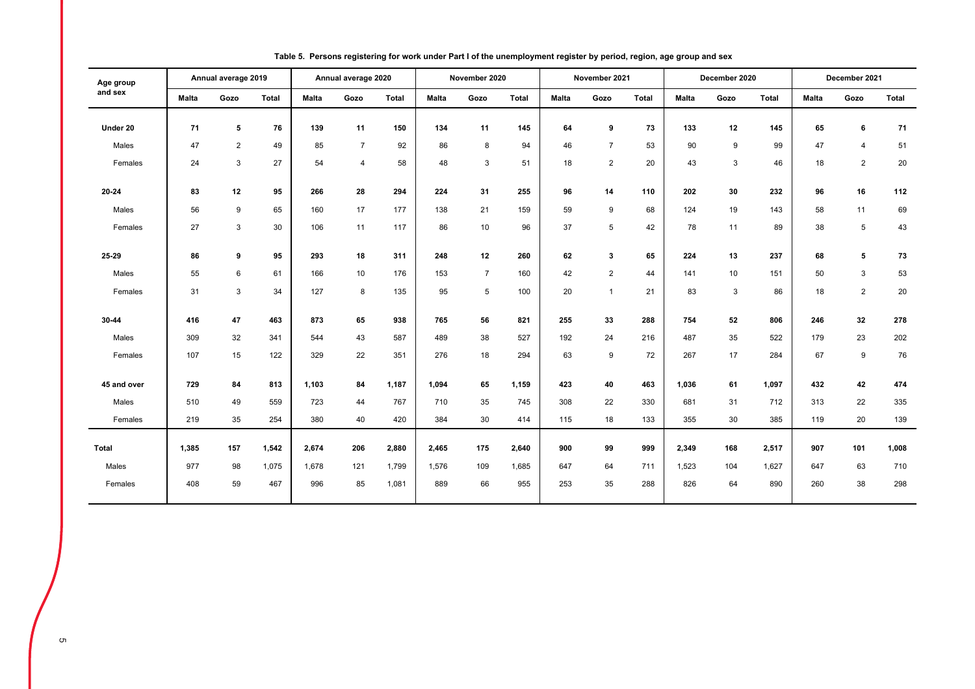| Age group    |              | Annual average 2019 |              |              | Annual average 2020 |              |              | November 2020  |              |              | November 2021  |       |              | December 2020 |              |       | December 2021  |              |
|--------------|--------------|---------------------|--------------|--------------|---------------------|--------------|--------------|----------------|--------------|--------------|----------------|-------|--------------|---------------|--------------|-------|----------------|--------------|
| and sex      | <b>Malta</b> | Gozo                | <b>Total</b> | <b>Malta</b> | Gozo                | <b>Total</b> | <b>Malta</b> | Gozo           | <b>Total</b> | <b>Malta</b> | Gozo           | Total | <b>Malta</b> | Gozo          | <b>Total</b> | Malta | Gozo           | <b>Total</b> |
| Under 20     | 71           | 5                   | 76           | 139          | 11                  | 150          | 134          | 11             | 145          | 64           | 9              | 73    | 133          | 12            | 145          | 65    | 6              | 71           |
| Males        | 47           | 2                   | 49           | 85           | $\overline{7}$      | 92           | 86           | 8              | 94           | 46           | $\overline{7}$ | 53    | 90           | 9             | 99           | 47    | 4              | 51           |
| Females      | 24           | 3                   | 27           | 54           | 4                   | 58           | 48           | 3              | 51           | 18           | $\overline{2}$ | 20    | 43           | 3             | 46           | 18    | $\overline{2}$ | 20           |
|              |              |                     |              |              |                     |              |              |                |              |              |                |       |              |               |              |       |                |              |
| 20-24        | 83           | 12                  | 95           | 266          | 28                  | 294          | 224          | 31             | 255          | 96           | 14             | 110   | 202          | 30            | 232          | 96    | 16             | 112          |
| Males        | 56           | 9                   | 65           | 160          | 17                  | 177          | 138          | 21             | 159          | 59           | 9              | 68    | 124          | 19            | 143          | 58    | 11             | 69           |
| Females      | 27           | 3                   | 30           | 106          | 11                  | 117          | 86           | 10             | 96           | 37           | 5              | 42    | 78           | 11            | 89           | 38    | 5              | 43           |
|              |              |                     |              |              |                     |              |              |                |              |              |                |       |              |               |              |       |                |              |
| 25-29        | 86           | 9                   | 95           | 293          | 18                  | 311          | 248          | 12             | 260          | 62           | 3              | 65    | 224          | 13            | 237          | 68    | 5              | 73           |
| Males        | 55           | 6                   | 61           | 166          | 10                  | 176          | 153          | $\overline{7}$ | 160          | 42           | $\overline{c}$ | 44    | 141          | 10            | 151          | 50    | 3              | 53           |
| Females      | 31           | 3                   | 34           | 127          | 8                   | 135          | 95           | 5              | 100          | 20           | $\mathbf{1}$   | 21    | 83           | 3             | 86           | 18    | $\overline{c}$ | 20           |
|              |              |                     |              |              |                     |              |              |                |              |              |                |       |              |               |              |       |                |              |
| 30-44        | 416          | 47                  | 463          | 873          | 65                  | 938          | 765          | 56             | 821          | 255          | 33             | 288   | 754          | 52            | 806          | 246   | 32             | 278          |
| Males        | 309          | 32                  | 341          | 544          | 43                  | 587          | 489          | 38             | 527          | 192          | 24             | 216   | 487          | 35            | 522          | 179   | 23             | 202          |
| Females      | 107          | 15                  | 122          | 329          | 22                  | 351          | 276          | 18             | 294          | 63           | 9              | 72    | 267          | 17            | 284          | 67    | 9              | 76           |
| 45 and over  | 729          | 84                  | 813          | 1,103        | 84                  | 1,187        | 1,094        | 65             | 1,159        | 423          | 40             | 463   | 1,036        | 61            | 1,097        | 432   | 42             | 474          |
| Males        | 510          |                     | 559          | 723          |                     | 767          |              | 35             |              | 308          | 22             | 330   | 681          |               | 712          | 313   | 22             |              |
|              |              | 49                  |              |              | 44                  |              | 710          |                | 745          |              |                |       |              | 31            |              |       |                | 335          |
| Females      | 219          | 35                  | 254          | 380          | 40                  | 420          | 384          | 30             | 414          | 115          | 18             | 133   | 355          | 30            | 385          | 119   | 20             | 139          |
| <b>Total</b> | 1,385        | 157                 | 1,542        | 2,674        | 206                 | 2,880        | 2,465        | 175            | 2,640        | 900          | 99             | 999   | 2,349        | 168           | 2,517        | 907   | 101            | 1,008        |
| Males        | 977          | 98                  | 1,075        | 1,678        | 121                 | 1,799        | 1,576        | 109            | 1,685        | 647          | 64             | 711   | 1,523        | 104           | 1,627        | 647   | 63             | 710          |
| Females      | 408          | 59                  | 467          | 996          | 85                  | 1,081        | 889          | 66             | 955          | 253          | 35             | 288   | 826          | 64            | 890          | 260   | 38             | 298          |
|              |              |                     |              |              |                     |              |              |                |              |              |                |       |              |               |              |       |                |              |

#### **Table 5. Persons registering for work under Part I of the unemployment register by period, region, age group and sex**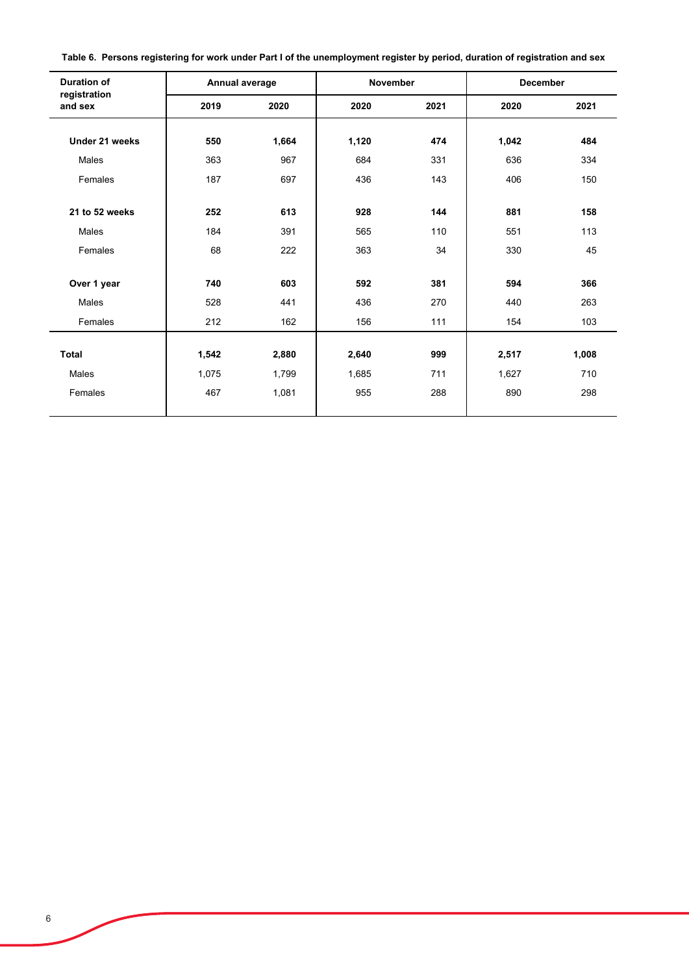|  | Table 6. Persons registering for work under Part I of the unemployment register by period, duration of registration and sex |
|--|-----------------------------------------------------------------------------------------------------------------------------|
|--|-----------------------------------------------------------------------------------------------------------------------------|

| <b>Duration of</b>      | Annual average |       | <b>November</b> |      | <b>December</b> |       |
|-------------------------|----------------|-------|-----------------|------|-----------------|-------|
| registration<br>and sex | 2019           | 2020  | 2020            | 2021 | 2020            | 2021  |
| Under 21 weeks          | 550            | 1,664 | 1,120           | 474  | 1,042           | 484   |
| Males                   | 363            | 967   | 684             | 331  | 636             | 334   |
| Females                 | 187            | 697   | 436             | 143  | 406             | 150   |
|                         |                |       |                 |      |                 |       |
| 21 to 52 weeks          | 252            | 613   | 928             | 144  | 881             | 158   |
| Males                   | 184            | 391   | 565             | 110  | 551             | 113   |
| Females                 | 68             | 222   | 363             | 34   | 330             | 45    |
|                         |                |       |                 |      |                 |       |
| Over 1 year             | 740            | 603   | 592             | 381  | 594             | 366   |
| Males                   | 528            | 441   | 436             | 270  | 440             | 263   |
| Females                 | 212            | 162   | 156             | 111  | 154             | 103   |
|                         |                |       |                 |      |                 |       |
| <b>Total</b>            | 1,542          | 2,880 | 2,640           | 999  | 2,517           | 1,008 |
| Males                   | 1,075          | 1,799 | 1,685           | 711  | 1,627           | 710   |
| Females                 | 467            | 1,081 | 955             | 288  | 890             | 298   |
|                         |                |       |                 |      |                 |       |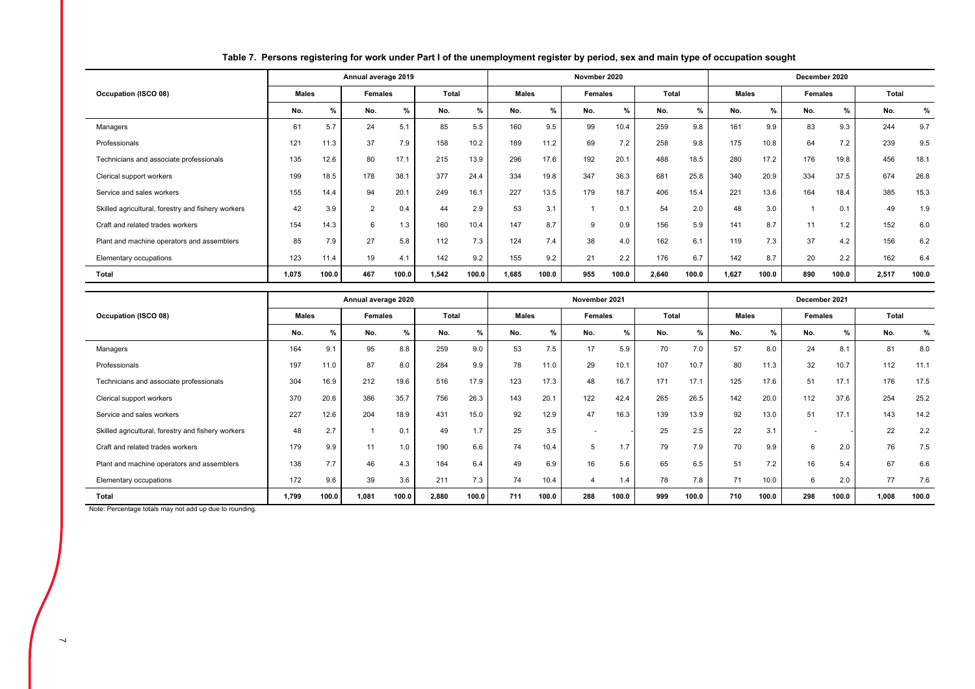|                                                    |              |               | Annual average 2019 |       |       |       |              |               | Novmber 2020   |       |       |       |              |               | December 2020 |       |       |       |
|----------------------------------------------------|--------------|---------------|---------------------|-------|-------|-------|--------------|---------------|----------------|-------|-------|-------|--------------|---------------|---------------|-------|-------|-------|
| Occupation (ISCO 08)                               | <b>Males</b> |               | Females             |       | Total |       | <b>Males</b> |               | <b>Females</b> |       | Total |       | <b>Males</b> |               | Females       |       | Total |       |
|                                                    | No.          | $\frac{9}{6}$ | No.                 | %     | No.   | $\%$  | No.          | $\frac{9}{6}$ | No.            | $\%$  | No.   | $\%$  | No.          | $\frac{9}{6}$ | No.           | %     | No.   | %     |
| Managers                                           | 61           | 5.7           | 24                  | 5.1   | 85    | 5.5   | 160          | 9.5           | 99             | 10.4  | 259   | 9.8   | 161          | 9.9           | 83            | 9.3   | 244   | 9.7   |
| Professionals                                      | 121          | 11.3          | 37                  | 7.9   | 158   | 10.2  | 189          | 11.2          | 69             | 7.2   | 258   | 9.8   | 175          | 10.8          | 64            | 7.2   | 239   | 9.5   |
| Technicians and associate professionals            | 135          | 12.6          | 80                  | 17.1  | 215   | 13.9  | 296          | 17.6          | 192            | 20.1  | 488   | 18.5  | 280          | 17.2          | 176           | 19.8  | 456   | 18.1  |
| Clerical support workers                           | 199          | 18.5          | 178                 | 38.1  | 377   | 24.4  | 334          | 19.8          | 347            | 36.3  | 681   | 25.8  | 340          | 20.9          | 334           | 37.5  | 674   | 26.8  |
| Service and sales workers                          | 155          | 14.4          | 94                  | 20.1  | 249   | 16.1  | 227          | 13.5          | 179            | 18.7  | 406   | 15.4  | 221          | 13.6          | 164           | 18.4  | 385   | 15.3  |
| Skilled agricultural, forestry and fishery workers | 42           | 3.9           | $\overline{2}$      | 0.4   | 44    | 2.9   | 53           | 3.1           |                | 0.1   | 54    | 2.0   | 48           | 3.0           |               | 0.1   | 49    | 1.9   |
| Craft and related trades workers                   | 154          | 14.3          | 6                   | 1.3   | 160   | 10.4  | 147          | 8.7           | 9              | 0.9   | 156   | 5.9   | 141          | 8.7           | 11            | 1.2   | 152   | 6.0   |
| Plant and machine operators and assemblers         | 85           | 7.9           | 27                  | 5.8   | 112   | 7.3   | 124          | 7.4           | 38             | 4.0   | 162   | 6.1   | 119          | 7.3           | 37            | 4.2   | 156   | 6.2   |
| Elementary occupations                             | 123          | 11.4          | 19                  | 4.1   | 142   | 9.2   | 155          | 9.2           | 21             | 2.2   | 176   | 6.7   | 142          | 8.7           | 20            | 2.2   | 162   | 6.4   |
| <b>Total</b>                                       | 1,075        | 100.0         | 467                 | 100.0 | 1,542 | 100.0 | 1,685        | 100.0         | 955            | 100.0 | 2,640 | 100.0 | 1,627        | 100.0         | 890           | 100.0 | 2,517 | 100.0 |

#### **Table 7. Persons registering for work under Part I of the unemployment register by period, sex and main type of occupation sought**

|                                                    |              |               | Annual average 2020 |       |       |       |              |       | November 2021  |       |              |       |              |       | December 2021 |       |       |       |
|----------------------------------------------------|--------------|---------------|---------------------|-------|-------|-------|--------------|-------|----------------|-------|--------------|-------|--------------|-------|---------------|-------|-------|-------|
| Occupation (ISCO 08)                               | <b>Males</b> |               | <b>Females</b>      |       | Total |       | <b>Males</b> |       | <b>Females</b> |       | <b>Total</b> |       | <b>Males</b> |       | Females       |       | Total |       |
|                                                    | No.          | $\frac{9}{6}$ | No.                 | %     | No.   | $\%$  | No.          | $\%$  | No.            | %     | No.          | $\%$  | No.          | %     | No.           | %     | No.   | %     |
| Managers                                           | 164          | 9.1           | 95                  | 8.8   | 259   | 9.0   | 53           | 7.5   | 17             | 5.9   | 70           | 7.0   | 57           | 8.0   | 24            | 8.1   | 81    | 8.0   |
| Professionals                                      | 197          | 11.0          | 87                  | 8.0   | 284   | 9.9   | 78           | 11.0  | 29             | 10.1  | 107          | 10.7  | 80           | 11.3  | 32            | 10.7  | 112   | 11.1  |
| Technicians and associate professionals            | 304          | 16.9          | 212                 | 19.6  | 516   | 17.9  | 123          | 17.3  | 48             | 16.7  | 171          | 17.1  | 125          | 17.6  | 51            | 17.1  | 176   | 17.5  |
| Clerical support workers                           | 370          | 20.6          | 386                 | 35.7  | 756   | 26.3  | 143          | 20.1  | 122            | 42.4  | 265          | 26.5  | 142          | 20.0  | 112           | 37.6  | 254   | 25.2  |
| Service and sales workers                          | 227          | 12.6          | 204                 | 18.9  | 431   | 15.0  | 92           | 12.9  | 47             | 16.3  | 139          | 13.9  | 92           | 13.0  | 51            | 17.1  | 143   | 14.2  |
| Skilled agricultural, forestry and fishery workers | 48           | 2.7           |                     | 0.1   | 49    | 1.7   | 25           | 3.5   |                |       | 25           | 2.5   | 22           | 3.1   | -             |       | 22    | 2.2   |
| Craft and related trades workers                   | 179          | 9.9           | 11                  | 1.0   | 190   | 6.6   | 74           | 10.4  | 5              | 1.7   | 79           | 7.9   | 70           | 9.9   | 6             | 2.0   | 76    | 7.5   |
| Plant and machine operators and assemblers         | 138          | 7.7           | 46                  | 4.3   | 184   | 6.4   | 49           | 6.9   | 16             | 5.6   | 65           | 6.5   | 51           | 7.2   | 16            | 5.4   | 67    | 6.6   |
| Elementary occupations                             | 172          | 9.6           | 39                  | 3.6   | 211   | 7.3   | 74           | 10.4  | 4              | 1.4   | 78           | 7.8   | 71           | 10.0  | 6             | 2.0   | 77    | 7.6   |
| Total                                              | 1.799        | 100.0         | 1,081               | 100.0 | 2,880 | 100.0 | 711          | 100.0 | 288            | 100.0 | 999          | 100.0 | 710          | 100.0 | 298           | 100.0 | 1,008 | 100.0 |

Note: Percentage totals may not add up due to rounding.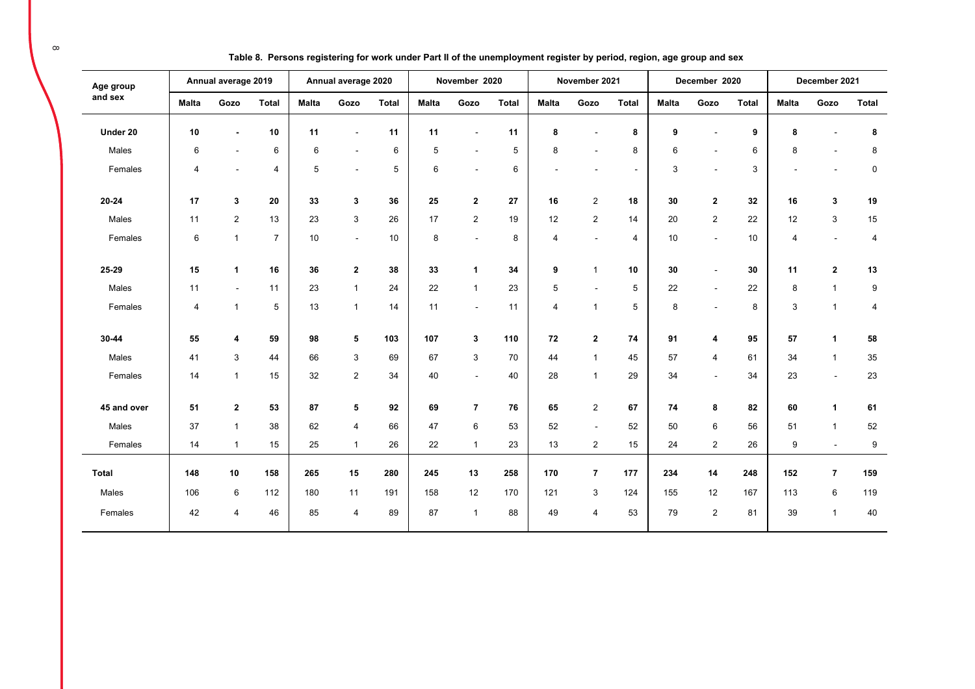| Age group    |              | Annual average 2019      |                |              | Annual average 2020 |              |              | November 2020            |              |              | November 2021  |                |              | December 2020            |              |                | December 2021            |                |
|--------------|--------------|--------------------------|----------------|--------------|---------------------|--------------|--------------|--------------------------|--------------|--------------|----------------|----------------|--------------|--------------------------|--------------|----------------|--------------------------|----------------|
| and sex      | <b>Malta</b> | Gozo                     | <b>Total</b>   | <b>Malta</b> | Gozo                | <b>Total</b> | <b>Malta</b> | Gozo                     | <b>Total</b> | <b>Malta</b> | Gozo           | <b>Total</b>   | <b>Malta</b> | Gozo                     | <b>Total</b> | <b>Malta</b>   | Gozo                     | <b>Total</b>   |
| Under 20     | 10           | $\overline{\phantom{a}}$ | 10             | 11           |                     | 11           | 11           | $\blacksquare$           | 11           | 8            | $\blacksquare$ | 8              | 9            |                          | 9            | 8              | $\blacksquare$           | 8              |
| Males        | 6            | $\blacksquare$           | 6              | 6            | $\blacksquare$      | 6            | 5            | $\blacksquare$           | 5            | 8            |                | 8              | 6            |                          | 6            | 8              |                          | 8              |
| Females      | 4            | $\blacksquare$           | 4              | 5            | $\sim$              | 5            | 6            | $\overline{\phantom{a}}$ | 6            |              |                | $\sim$         | 3            |                          | 3            |                | $\overline{\phantom{a}}$ | $\mathbf 0$    |
| $20 - 24$    | 17           | 3                        | 20             | 33           | 3                   | 36           | 25           | $\mathbf{2}$             | 27           | 16           | $\overline{2}$ | 18             | 30           | $\overline{2}$           | 32           | 16             | 3                        | 19             |
| Males        | 11           | $\overline{2}$           | 13             | 23           | 3                   | 26           | 17           | $\overline{2}$           | 19           | 12           | $\overline{c}$ | 14             | 20           | $\overline{c}$           | 22           | 12             | 3                        | 15             |
| Females      | 6            | $\mathbf{1}$             | $\overline{7}$ | 10           | $\blacksquare$      | 10           | 8            | $\overline{\phantom{a}}$ | 8            | 4            |                | $\overline{4}$ | 10           |                          | 10           | $\overline{4}$ | $\blacksquare$           | $\overline{4}$ |
| 25-29        | 15           | $\mathbf{1}$             | 16             | 36           | $\overline{2}$      | 38           | 33           | $\mathbf{1}$             | 34           | 9            | $\overline{1}$ | 10             | 30           | $\overline{\phantom{a}}$ | 30           | 11             | $\mathbf{2}$             | 13             |
| Males        | 11           | $\blacksquare$           | 11             | 23           | $\mathbf{1}$        | 24           | 22           | $\overline{1}$           | 23           | 5            |                | 5              | 22           |                          | 22           | 8              | $\overline{1}$           | 9              |
| Females      | 4            | $\mathbf{1}$             | 5              | 13           | $\mathbf{1}$        | 14           | 11           | $\sim$                   | 11           | 4            | $\overline{1}$ | 5              | 8            |                          | 8            | 3              | $\mathbf{1}$             | $\overline{4}$ |
| 30-44        | 55           | 4                        | 59             | 98           | 5                   | 103          | 107          | 3                        | 110          | 72           | $\mathbf{2}$   | 74             | 91           | 4                        | 95           | 57             | $\mathbf{1}$             | 58             |
| Males        | 41           | 3                        | 44             | 66           | $\mathbf{3}$        | 69           | 67           | $\sqrt{3}$               | 70           | 44           | $\overline{1}$ | 45             | 57           | 4                        | 61           | 34             | $\mathbf{1}$             | 35             |
| Females      | 14           | $\mathbf{1}$             | 15             | 32           | $\overline{2}$      | 34           | 40           | $\blacksquare$           | 40           | 28           | $\overline{1}$ | 29             | 34           | $\sim$                   | 34           | 23             | $\blacksquare$           | 23             |
| 45 and over  | 51           | $\mathbf{2}$             | 53             | 87           | 5                   | 92           | 69           | $\overline{7}$           | 76           | 65           | $\overline{2}$ | 67             | 74           | 8                        | 82           | 60             | 1                        | 61             |
| Males        | 37           | $\mathbf{1}$             | 38             | 62           | $\overline{4}$      | 66           | 47           | $\,6$                    | 53           | 52           | $\sim$         | 52             | 50           | 6                        | 56           | 51             | $\mathbf{1}$             | 52             |
| Females      | 14           | $\mathbf{1}$             | 15             | 25           | $\mathbf{1}$        | 26           | 22           | $\mathbf{1}$             | 23           | 13           | $\overline{2}$ | 15             | 24           | $\overline{2}$           | 26           | 9              | $\sim$                   | 9              |
| <b>Total</b> | 148          | 10                       | 158            | 265          | 15                  | 280          | 245          | 13                       | 258          | 170          | $\overline{7}$ | 177            | 234          | 14                       | 248          | 152            | $\overline{7}$           | 159            |
| Males        | 106          | 6                        | 112            | 180          | 11                  | 191          | 158          | 12                       | 170          | 121          | 3              | 124            | 155          | 12                       | 167          | 113            | 6                        | 119            |
| Females      | 42           | $\overline{4}$           | 46             | 85           | $\overline{4}$      | 89           | 87           | $\mathbf{1}$             | 88           | 49           | 4              | 53             | 79           | $\overline{2}$           | 81           | 39             | $\overline{1}$           | 40             |

**Table 8. Persons registering for work under Part II of the unemployment register by period, region, age group and sex**

 $\infty$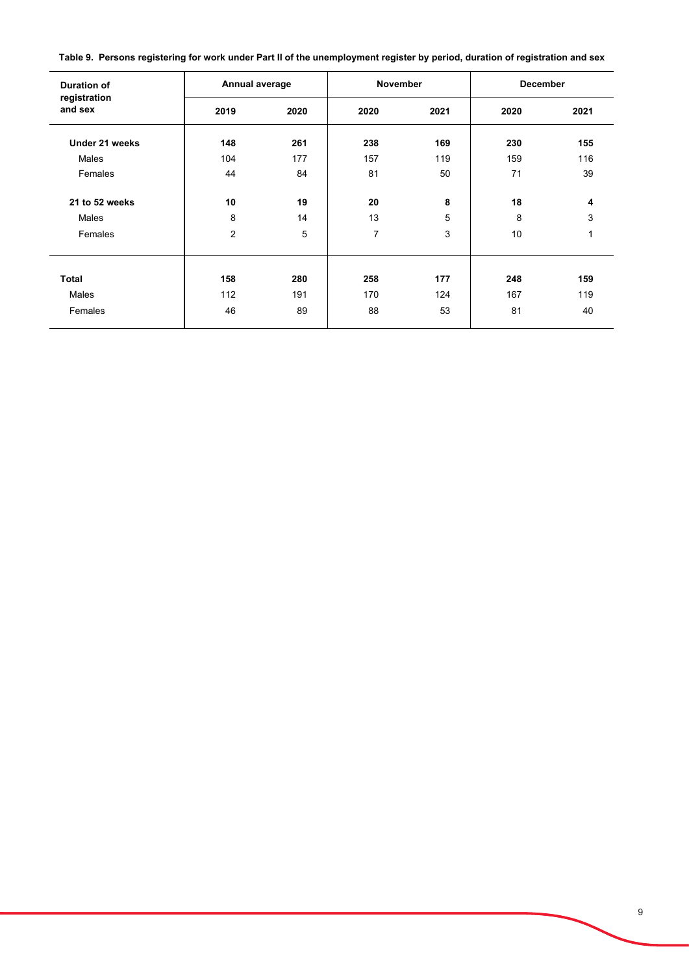**Table 9. Persons registering for work under Part II of the unemployment register by period, duration of registration and sex**

| <b>Duration of</b>      | Annual average |      | <b>November</b> |      | <b>December</b> |      |  |  |  |
|-------------------------|----------------|------|-----------------|------|-----------------|------|--|--|--|
| registration<br>and sex | 2019           | 2020 | 2020            | 2021 | 2020            | 2021 |  |  |  |
| Under 21 weeks          | 148            | 261  | 238             | 169  | 230             | 155  |  |  |  |
| Males                   | 104            | 177  | 157             | 119  | 159             | 116  |  |  |  |
| Females                 | 44             | 84   | 81              | 50   | 71              | 39   |  |  |  |
| 21 to 52 weeks          | 10             | 19   | 20              | 8    | 18              | 4    |  |  |  |
| Males                   | 8              | 14   | 13              | 5    | 8               | 3    |  |  |  |
| Females                 | $\overline{c}$ | 5    | $\overline{7}$  | 3    | 10              | 1    |  |  |  |
|                         |                |      |                 |      |                 |      |  |  |  |
| <b>Total</b>            | 158            | 280  | 258             | 177  | 248             | 159  |  |  |  |
| Males                   | 112            | 191  | 170             | 124  | 167             | 119  |  |  |  |
| Females                 | 46             | 89   | 88              | 53   | 81              | 40   |  |  |  |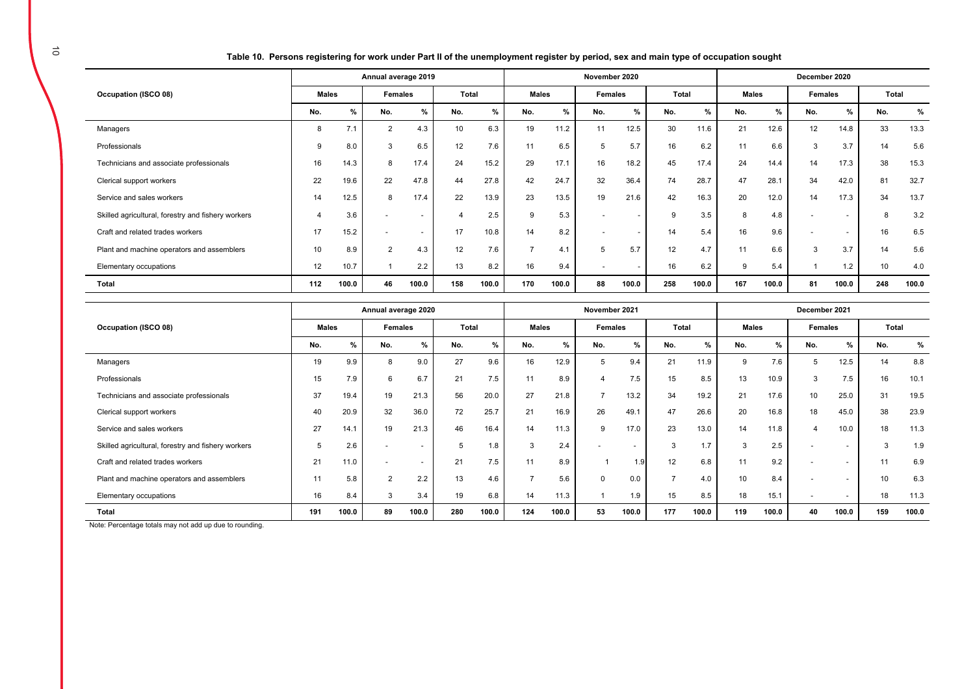**Table 10. Persons registering for work under Part II of the unemployment register by period, sex and main type of occupation sought** 

|                                                    | Annual average 2019 |       |                |                          |                 |       |                | November 2020 |                          |       |       |       |              |       | December 2020            |                          |       |       |  |  |  |
|----------------------------------------------------|---------------------|-------|----------------|--------------------------|-----------------|-------|----------------|---------------|--------------------------|-------|-------|-------|--------------|-------|--------------------------|--------------------------|-------|-------|--|--|--|
| Occupation (ISCO 08)                               | <b>Males</b>        |       | <b>Females</b> |                          | Total           |       | <b>Males</b>   |               | Females                  |       | Total |       | <b>Males</b> |       | <b>Females</b>           |                          | Total |       |  |  |  |
|                                                    | No.                 | %     | No.            | %                        | No.             | %     | No.            | %             | No.                      | %     | No.   | %     | No.          | %     | No.                      | %                        | No.   | %     |  |  |  |
| Managers                                           | 8                   | 7.1   | $\overline{2}$ | 4.3                      | 10 <sup>1</sup> | 6.3   | 19             | 11.2          | 11                       | 12.5  | 30    | 11.6  | 21           | 12.6  | 12                       | 14.8                     | 33    | 13.3  |  |  |  |
| Professionals                                      | 9                   | 8.0   | 3              | 6.5                      | 12              | 7.6   | 11             | 6.5           | 5                        | 5.7   | 16    | 6.2   | 11           | 6.6   | 3                        | 3.7                      | 14    | 5.6   |  |  |  |
| Technicians and associate professionals            | 16                  | 14.3  | 8              | 17.4                     | 24              | 15.2  | 29             | 17.1          | 16                       | 18.2  | 45    | 17.4  | 24           | 14.4  | 14                       | 17.3                     | 38    | 15.3  |  |  |  |
| Clerical support workers                           | 22                  | 19.6  | 22             | 47.8                     | 44              | 27.8  | 42             | 24.7          | 32                       | 36.4  | 74    | 28.7  | 47           | 28.1  | 34                       | 42.0                     | 81    | 32.7  |  |  |  |
| Service and sales workers                          | 14                  | 12.5  | 8              | 17.4                     | 22              | 13.9  | 23             | 13.5          | 19                       | 21.6  | 42    | 16.3  | 20           | 12.0  | 14                       | 17.3                     | 34    | 13.7  |  |  |  |
| Skilled agricultural, forestry and fishery workers |                     | 3.6   |                | $\overline{\phantom{a}}$ |                 | 2.5   | 9              | 5.3           | $\overline{\phantom{0}}$ |       | 9     | 3.5   | 8            | 4.8   | $\overline{\phantom{a}}$ | $\overline{\phantom{a}}$ | 8     | 3.2   |  |  |  |
| Craft and related trades workers                   | 17                  | 15.2  |                | $\sim$                   | 17              | 10.8  | 14             | 8.2           | $\overline{a}$           |       | 14    | 5.4   | 16           | 9.6   | $\overline{\phantom{a}}$ | $\overline{\phantom{a}}$ | 16    | 6.5   |  |  |  |
| Plant and machine operators and assemblers         | 10                  | 8.9   | $\mathcal{P}$  | 4.3                      | 12              | 7.6   | $\overline{ }$ | 4.1           | 5                        | 5.7   | 12    | 4.7   | 11           | 6.6   | 3                        | 3.7                      | 14    | 5.6   |  |  |  |
| Elementary occupations                             | 12                  | 10.7  |                | 2.2                      | 13              | 8.2   | 16             | 9.4           | $\overline{\phantom{a}}$ |       | 16    | 6.2   | 9            | 5.4   |                          | 1.2                      | 10    | 4.0   |  |  |  |
| <b>Total</b>                                       | 112                 | 100.0 | 46             | 100.0                    | 158             | 100.0 | 170            | 100.0         | 88                       | 100.0 | 258   | 100.0 | 167          | 100.0 | 81                       | 100.0                    | 248   | 100.0 |  |  |  |

|                                                                                                                             | Annual average 2020 |       |                |                          |       |       |                | November 2021 |                          |        |                |       |              |       | December 2021            |                          |       |       |  |  |  |
|-----------------------------------------------------------------------------------------------------------------------------|---------------------|-------|----------------|--------------------------|-------|-------|----------------|---------------|--------------------------|--------|----------------|-------|--------------|-------|--------------------------|--------------------------|-------|-------|--|--|--|
| Occupation (ISCO 08)                                                                                                        | <b>Males</b>        |       | <b>Females</b> |                          | Total |       | <b>Males</b>   |               | <b>Females</b>           |        | Total          |       | <b>Males</b> |       | <b>Females</b>           |                          | Total |       |  |  |  |
|                                                                                                                             | No.                 | $\%$  | No.            | %                        | No.   | %     | No.            | $\frac{9}{6}$ | No.                      | %      | No.            | %     | No.          | %     | No.                      | %                        | No.   | %     |  |  |  |
| Managers                                                                                                                    | 19                  | 9.9   | 8              | 9.0                      | 27    | 9.6   | 16             | 12.9          | 5                        | 9.4    | 21             | 11.9  | 9            | 7.6   | 5                        | 12.5                     | 14    | 8.8   |  |  |  |
| Professionals                                                                                                               | 15                  | 7.9   | 6              | 6.7                      | 21    | 7.5   | 11             | 8.9           |                          | 7.5    | 15             | 8.5   | 13           | 10.9  | 3                        | 7.5                      | 16    | 10.1  |  |  |  |
| Technicians and associate professionals                                                                                     | 37                  | 19.4  | 19             | 21.3                     | 56    | 20.0  | 27             | 21.8          | $\overline{ }$           | 13.2   | 34             | 19.2  | 21           | 17.6  | 10                       | 25.0                     | 31    | 19.5  |  |  |  |
| Clerical support workers                                                                                                    | 40                  | 20.9  | 32             | 36.0                     | 72    | 25.7  | 21             | 16.9          | 26                       | 49.1   | 47             | 26.6  | 20           | 16.8  | 18                       | 45.0                     | 38    | 23.9  |  |  |  |
| Service and sales workers                                                                                                   | 27                  | 14.1  | 19             | 21.3                     | 46    | 16.4  | 14             | 11.3          | 9                        | 17.0   | 23             | 13.0  | 14           | 11.8  | $\overline{4}$           | 10.0                     | 18    | 11.3  |  |  |  |
| Skilled agricultural, forestry and fishery workers                                                                          | 5                   | 2.6   |                | $\overline{\phantom{0}}$ | 5     | 1.8   | 3              | 2.4           | $\overline{\phantom{a}}$ | $\sim$ | 3              | 1.7   | 3            | 2.5   | $\overline{\phantom{a}}$ | $\overline{\phantom{a}}$ | 3     | 1.9   |  |  |  |
| Craft and related trades workers                                                                                            | 21                  | 11.0  |                | $\overline{\phantom{a}}$ | 21    | 7.5   | 11             | 8.9           |                          |        | 12             | 6.8   | 11           | 9.2   | $\overline{\phantom{a}}$ |                          | 11    | 6.9   |  |  |  |
| Plant and machine operators and assemblers                                                                                  | 11                  | 5.8   | 2              | 2.2                      | 13    | 4.6   | $\overline{ }$ | 5.6           | $\Omega$                 | 0.0    | $\overline{ }$ | 4.0   | 10           | 8.4   | $\overline{\phantom{a}}$ | $\overline{\phantom{0}}$ | 10    | 6.3   |  |  |  |
| Elementary occupations                                                                                                      | 16                  | 8.4   | 3              | 3.4                      | 19    | 6.8   | 14             | 11.3          |                          | 1.9    | 15             | 8.5   | 18           | 15.1  | ٠                        |                          | 18    | 11.3  |  |  |  |
| <b>Total</b><br>$\mathbf{r}$ , and $\mathbf{r}$ , and $\mathbf{r}$ , and $\mathbf{r}$ , and $\mathbf{r}$ , and $\mathbf{r}$ | 191                 | 100.0 | 89             | 100.0                    | 280   | 100.0 | 124            | 100.0         | 53                       | 100.0  | 177            | 100.0 | 119          | 100.0 | 40                       | 100.0                    | 159   | 100.0 |  |  |  |

Note: Percentage totals may not add up due to rounding.